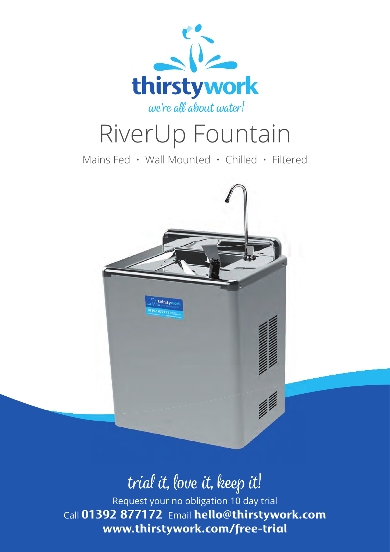

# RiverUp Fountain

Mains Fed • Wall Mounted • Chilled • Filtered



## trial it, love it, keep it!

Request your no obligation 10 day trial Call **01392 877172** Email **hello@thirstywork.com www.thirstywork.com/free-trial**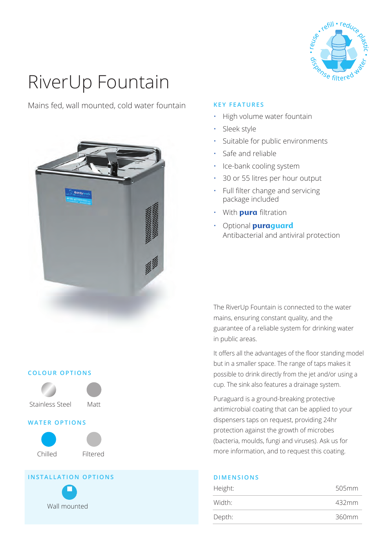

# RiverUp Fountain

Mains fed, wall mounted, cold water fountain



### **COLOUR OPTIONS**





## **WATER OPTIONS**



### **INSTALLATION OPTIONS**



## **KEY FEATURES**

- High volume water fountain
- Sleek style
- Suitable for public environments
- Safe and reliable
- Ice-bank cooling system
- 30 or 55 litres per hour output
- $\cdot$  Full filter change and servicing package included
- With **pura** filtration
- Optional **puraguard**  Antibacterial and antiviral protection

The RiverUp Fountain is connected to the water mains, ensuring constant quality, and the guarantee of a reliable system for drinking water in public areas.

It offers all the advantages of the floor standing model but in a smaller space. The range of taps makes it possible to drink directly from the jet and/or using a cup. The sink also features a drainage system.

Puraguard is a ground-breaking protective antimicrobial coating that can be applied to your dispensers taps on request, providing 24hr protection against the growth of microbes (bacteria, moulds, fungi and viruses). Ask us for more information, and to request this coating.

| Height: | 505mm |
|---------|-------|
| Width:  | 432mm |
| Depth:  | 360mm |